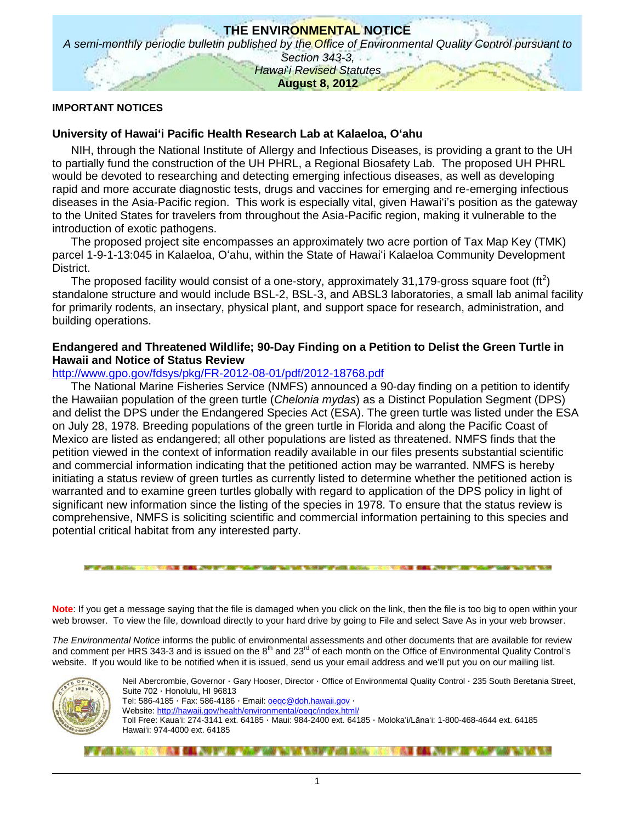

#### **IMPORTANT NOTICES**

### **University of Hawaiʻi Pacific Health Research Lab at Kalaeloa, Oʻahu**

NIH, through the National Institute of Allergy and Infectious Diseases, is providing a grant to the UH to partially fund the construction of the UH PHRL, a Regional Biosafety Lab. The proposed UH PHRL would be devoted to researching and detecting emerging infectious diseases, as well as developing rapid and more accurate diagnostic tests, drugs and vaccines for emerging and re-emerging infectious diseases in the Asia-Pacific region. This work is especially vital, given Hawaiʻi's position as the gateway to the United States for travelers from throughout the Asia-Pacific region, making it vulnerable to the introduction of exotic pathogens.

The proposed project site encompasses an approximately two acre portion of Tax Map Key (TMK) parcel 1-9-1-13:045 in Kalaeloa, Oʻahu, within the State of Hawaiʻi Kalaeloa Community Development District.

The proposed facility would consist of a one-story, approximately 31,179-gross square foot (ft<sup>2</sup>) standalone structure and would include BSL-2, BSL-3, and ABSL3 laboratories, a small lab animal facility for primarily rodents, an insectary, physical plant, and support space for research, administration, and building operations.

### **Endangered and Threatened Wildlife; 90-Day Finding on a Petition to Delist the Green Turtle in Hawaii and Notice of Status Review**

### <http://www.gpo.gov/fdsys/pkg/FR-2012-08-01/pdf/2012-18768.pdf>

The National Marine Fisheries Service (NMFS) announced a 90-day finding on a petition to identify the Hawaiian population of the green turtle (*Chelonia mydas*) as a Distinct Population Segment (DPS) and delist the DPS under the Endangered Species Act (ESA). The green turtle was listed under the ESA on July 28, 1978. Breeding populations of the green turtle in Florida and along the Pacific Coast of Mexico are listed as endangered; all other populations are listed as threatened. NMFS finds that the petition viewed in the context of information readily available in our files presents substantial scientific and commercial information indicating that the petitioned action may be warranted. NMFS is hereby initiating a status review of green turtles as currently listed to determine whether the petitioned action is warranted and to examine green turtles globally with regard to application of the DPS policy in light of significant new information since the listing of the species in 1978. To ensure that the status review is comprehensive, NMFS is soliciting scientific and commercial information pertaining to this species and potential critical habitat from any interested party.

**Note**: If you get a message saying that the file is damaged when you click on the link, then the file is too big to open within your web browser. To view the file, download directly to your hard drive by going to File and select Save As in your web browser.

*The Environmental Notice* informs the public of environmental assessments and other documents that are available for review and comment per HRS 343-3 and is issued on the  $8<sup>th</sup>$  and 23<sup>rd</sup> of each month on the Office of Environmental Quality Control's website. If you would like to be notified when it is issued, send us your email address and weʻll put you on our mailing list.



Neil Abercrombie, Governor · Gary Hooser, Director · Office of Environmental Quality Control · 235 South Beretania Street, Suite 702 · Honolulu, HI 96813 Tel: 586-4185 · Fax: 586-4186 · Email: [oeqc@doh.hawaii.gov](mailto:oeqc@doh.hawaii.gov) · Website:<http://hawaii.gov/health/environmental/oeqc/index.html/> Toll Free: Kauaʻi: 274-3141 ext. 64185 · Maui: 984-2400 ext. 64185 · Molokaʻi/Lānaʻi: 1-800-468-4644 ext. 64185 Hawaiʻi: 974-4000 ext. 64185

#### **的复数形式 医心包下颌 医心包下垂 医血管下颌 医血管下颌 医心脏 医心脏 医心脏 医心脏 医心脏 医血管 医血管 医血管 医心理 医心理 医心理 医心理学**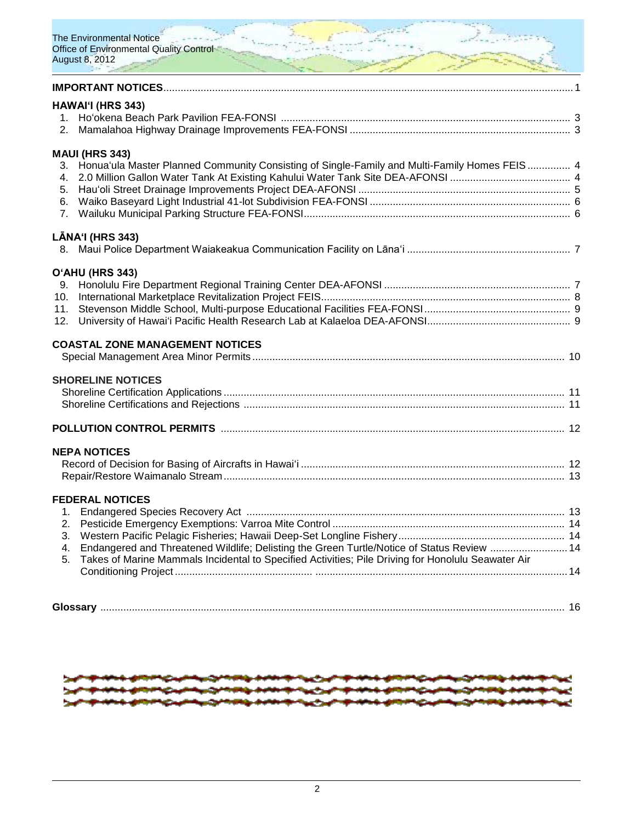

| HAWAI'I (HRS 343)<br>2.                                                                                                                                                                                                                                  |  |
|----------------------------------------------------------------------------------------------------------------------------------------------------------------------------------------------------------------------------------------------------------|--|
| <b>MAUI (HRS 343)</b><br>3. Honua'ula Master Planned Community Consisting of Single-Family and Multi-Family Homes FEIS 4<br>4.<br>6.<br>7 <sub>1</sub>                                                                                                   |  |
| LĀNA'I (HRS 343)                                                                                                                                                                                                                                         |  |
| O'AHU (HRS 343)<br>9.<br>10.<br>11.<br>12.                                                                                                                                                                                                               |  |
| <b>COASTAL ZONE MANAGEMENT NOTICES</b>                                                                                                                                                                                                                   |  |
| <b>SHORELINE NOTICES</b>                                                                                                                                                                                                                                 |  |
|                                                                                                                                                                                                                                                          |  |
| <b>NEPA NOTICES</b>                                                                                                                                                                                                                                      |  |
| <b>FEDERAL NOTICES</b><br>1.<br>2.<br>3.<br>Endangered and Threatened Wildlife; Delisting the Green Turtle/Notice of Status Review  14<br>4.<br>Takes of Marine Mammals Incidental to Specified Activities; Pile Driving for Honolulu Seawater Air<br>5. |  |



**Glossary** .................................................................................................................................................................. 16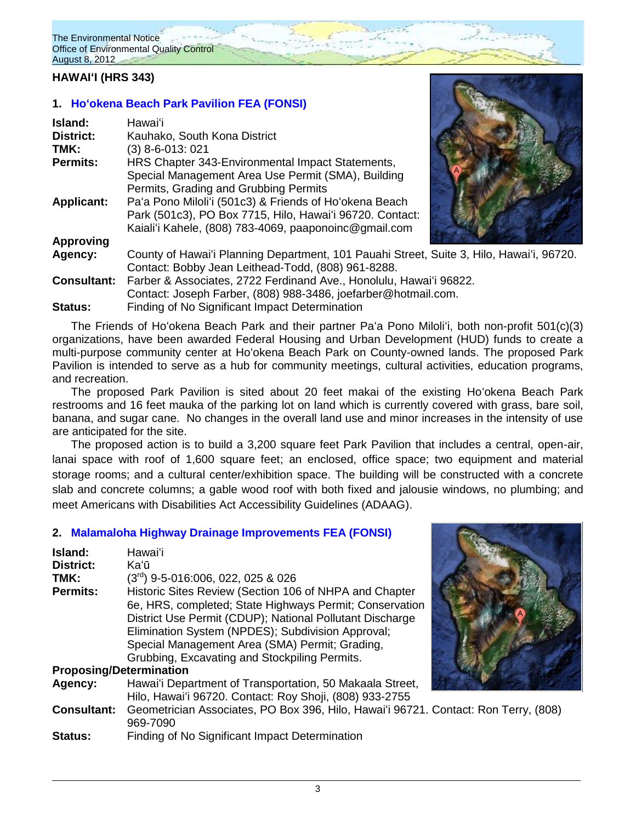# **HAWAIʻI (HRS 343)**

# **1. [Hoʻokena Beach Park Pavilion FEA \(FONSI\)](http://oeqc.doh.hawaii.gov/Shared%20Documents/EA_and_EIS_Online_Library/Hawaii/2010s/2012-08-08-HA-FEA-Hookena-Beach-Park-Pavillion.pdf)**

| Island:            | Hawai'i                                                                                                                                                                     |  |
|--------------------|-----------------------------------------------------------------------------------------------------------------------------------------------------------------------------|--|
| <b>District:</b>   | Kauhako, South Kona District                                                                                                                                                |  |
| TMK:               | (3) 8-6-013: 021                                                                                                                                                            |  |
| <b>Permits:</b>    | HRS Chapter 343-Environmental Impact Statements,<br>Special Management Area Use Permit (SMA), Building<br>Permits, Grading and Grubbing Permits                             |  |
| <b>Applicant:</b>  | Pa'a Pono Miloli'i (501c3) & Friends of Ho'okena Beach<br>Park (501c3), PO Box 7715, Hilo, Hawai'i 96720. Contact:<br>Kaiali'i Kahele, (808) 783-4069, paaponoinc@gmail.com |  |
| <b>Approving</b>   |                                                                                                                                                                             |  |
| Agency:            | County of Hawai'i Planning Department, 101 Pauahi Street, Suite 3, Hilo, Hawai'i, 96720.<br>Contact: Bobby Jean Leithead-Todd, (808) 961-8288.                              |  |
| <b>Consultant:</b> | Farber & Associates, 2722 Ferdinand Ave., Honolulu, Hawai'i 96822.<br>Contact: Joseph Farber, (808) 988-3486, joefarber@hotmail.com.                                        |  |
| <b>Status:</b>     | Finding of No Significant Impact Determination                                                                                                                              |  |

The Friends of Hoʻokena Beach Park and their partner Paʻa Pono Miloliʻi, both non-profit 501(c)(3) organizations, have been awarded Federal Housing and Urban Development (HUD) funds to create a multi-purpose community center at Hoʻokena Beach Park on County-owned lands. The proposed Park Pavilion is intended to serve as a hub for community meetings, cultural activities, education programs, and recreation.

The proposed Park Pavilion is sited about 20 feet makai of the existing Hoʻokena Beach Park restrooms and 16 feet mauka of the parking lot on land which is currently covered with grass, bare soil, banana, and sugar cane. No changes in the overall land use and minor increases in the intensity of use are anticipated for the site.

The proposed action is to build a 3,200 square feet Park Pavilion that includes a central, open-air, lanai space with roof of 1,600 square feet; an enclosed, office space; two equipment and material storage rooms; and a cultural center/exhibition space. The building will be constructed with a concrete slab and concrete columns; a gable wood roof with both fixed and jalousie windows, no plumbing; and meet Americans with Disabilities Act Accessibility Guidelines (ADAAG).

# **2. [Malamaloha Highway Drainage Improvements FEA \(FONSI\)](http://oeqc.doh.hawaii.gov/Shared%20Documents/EA_and_EIS_Online_Library/Hawaii/2010s/2012-08-08-HA-FEA-Mamalahoa-Highway-Drainage-Improvements-at-Kawa-Flats.pdf)**

| Island:                        | Hawai'i                                                                             |  |
|--------------------------------|-------------------------------------------------------------------------------------|--|
| <b>District:</b>               | Kaʻū                                                                                |  |
| TMK:                           | $(3rd)$ 9-5-016:006, 022, 025 & 026                                                 |  |
| <b>Permits:</b>                | Historic Sites Review (Section 106 of NHPA and Chapter                              |  |
|                                | 6e, HRS, completed; State Highways Permit; Conservation                             |  |
|                                | District Use Permit (CDUP); National Pollutant Discharge                            |  |
|                                | Elimination System (NPDES); Subdivision Approval;                                   |  |
|                                | Special Management Area (SMA) Permit; Grading,                                      |  |
|                                | Grubbing, Excavating and Stockpiling Permits.                                       |  |
| <b>Proposing/Determination</b> |                                                                                     |  |
| Agency:                        | Hawai'i Department of Transportation, 50 Makaala Street,                            |  |
|                                | Hilo, Hawai'i 96720. Contact: Roy Shoji, (808) 933-2755                             |  |
| <b>Consultant:</b>             | Geometrician Associates, PO Box 396, Hilo, Hawai'i 96721. Contact: Ron Terry, (808) |  |
|                                | 969-7090                                                                            |  |
| <b>Status:</b>                 | Finding of No Significant Impact Determination                                      |  |
|                                |                                                                                     |  |

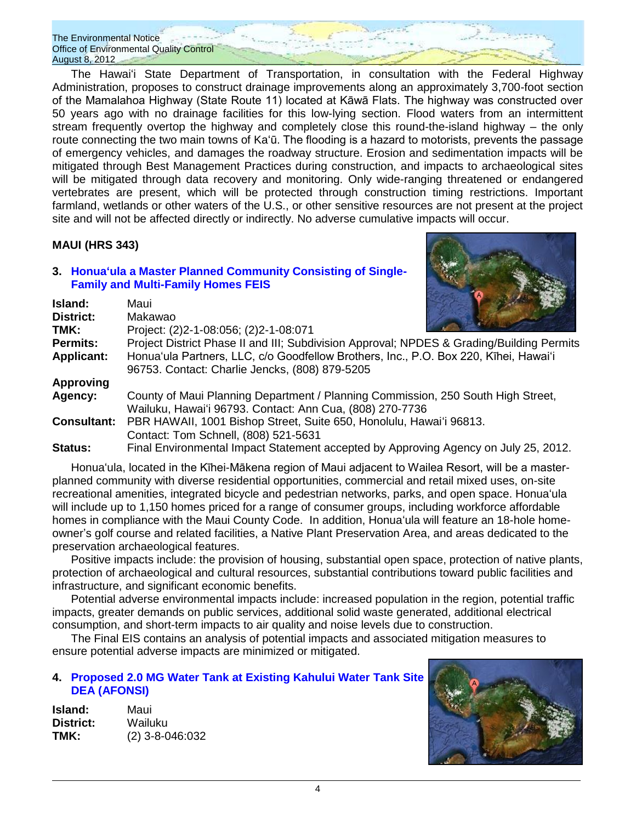The Hawaiʻi State Department of Transportation, in consultation with the Federal Highway Administration, proposes to construct drainage improvements along an approximately 3,700-foot section of the Mamalahoa Highway (State Route 11) located at Kāwā Flats. The highway was constructed over 50 years ago with no drainage facilities for this low-lying section. Flood waters from an intermittent stream frequently overtop the highway and completely close this round-the-island highway – the only route connecting the two main towns of Kaʻū. The flooding is a hazard to motorists, prevents the passage of emergency vehicles, and damages the roadway structure. Erosion and sedimentation impacts will be mitigated through Best Management Practices during construction, and impacts to archaeological sites will be mitigated through data recovery and monitoring. Only wide-ranging threatened or endangered vertebrates are present, which will be protected through construction timing restrictions. Important farmland, wetlands or other waters of the U.S., or other sensitive resources are not present at the project site and will not be affected directly or indirectly. No adverse cumulative impacts will occur.

# **MAUI (HRS 343)**

**Island:** Maui **District:** Makawao

### **3. Honuaʻula a [Master Planned Community Consisting of Single-](http://oeqc.doh.hawaii.gov/Shared%20Documents/EA_and_EIS_Online_Library/Maui/2010s/2012-08-08-MA-FEIS-Honuaula.pdf)[Family and Multi-Family Homes](http://oeqc.doh.hawaii.gov/Shared%20Documents/EA_and_EIS_Online_Library/Maui/2010s/2012-08-08-MA-FEIS-Honuaula.pdf) FEIS**



| TMK:              | Project: (2)2-1-08:056; (2)2-1-08:071                                                     | <b>AND A REPORT OF A REPORT OF A REPORT</b> |
|-------------------|-------------------------------------------------------------------------------------------|---------------------------------------------|
| <b>Permits:</b>   | Project District Phase II and III; Subdivision Approval; NPDES & Grading/Building Permits |                                             |
| <b>Applicant:</b> | Honua'ula Partners, LLC, c/o Goodfellow Brothers, Inc., P.O. Box 220, Kihei, Hawai'i      |                                             |
|                   | 96753. Contact: Charlie Jencks, (808) 879-5205                                            |                                             |
| Approving         |                                                                                           |                                             |

| Agency: | County of Maui Planning Department / Planning Commission, 250 South High Street,       |
|---------|----------------------------------------------------------------------------------------|
|         | Wailuku, Hawai'i 96793. Contact: Ann Cua, (808) 270-7736                               |
|         | <b>Consultant:</b> PBR HAWAII, 1001 Bishop Street, Suite 650, Honolulu, Hawai'i 96813. |
|         | Contact: Tom Schnell, (808) 521-5631                                                   |
| Status: | Final Environmental Impact Statement accepted by Approving Agency on July 25, 2012.    |

Honuaʻula, located in the Kīhei-Mākena region of Maui adjacent to Wailea Resort, will be a masterplanned community with diverse residential opportunities, commercial and retail mixed uses, on-site recreational amenities, integrated bicycle and pedestrian networks, parks, and open space. Honuaʻula will include up to 1,150 homes priced for a range of consumer groups, including workforce affordable homes in compliance with the Maui County Code. In addition, Honuaʻula will feature an 18-hole homeowner's golf course and related facilities, a Native Plant Preservation Area, and areas dedicated to the preservation archaeological features.

Positive impacts include: the provision of housing, substantial open space, protection of native plants, protection of archaeological and cultural resources, substantial contributions toward public facilities and infrastructure, and significant economic benefits.

Potential adverse environmental impacts include: increased population in the region, potential traffic impacts, greater demands on public services, additional solid waste generated, additional electrical consumption, and short-term impacts to air quality and noise levels due to construction.

The Final EIS contains an analysis of potential impacts and associated mitigation measures to ensure potential adverse impacts are minimized or mitigated.

# **4. [Proposed 2.0 MG Water Tank at Existing Kahului Water Tank Site](http://oeqc.doh.hawaii.gov/Shared%20Documents/EA_and_EIS_Online_Library/Maui/2010s/2012-08-08-MA-DEA-2MG-Water-Tank-at-Existing-Water-Tank-Site-in-Kahului.pdf) [DEA \(AFONSI\)](http://oeqc.doh.hawaii.gov/Shared%20Documents/EA_and_EIS_Online_Library/Maui/2010s/2012-08-08-MA-DEA-2MG-Water-Tank-at-Existing-Water-Tank-Site-in-Kahului.pdf)**

**Island:** Maui **District:** Wailuku **TMK:** (2) 3-8-046:032

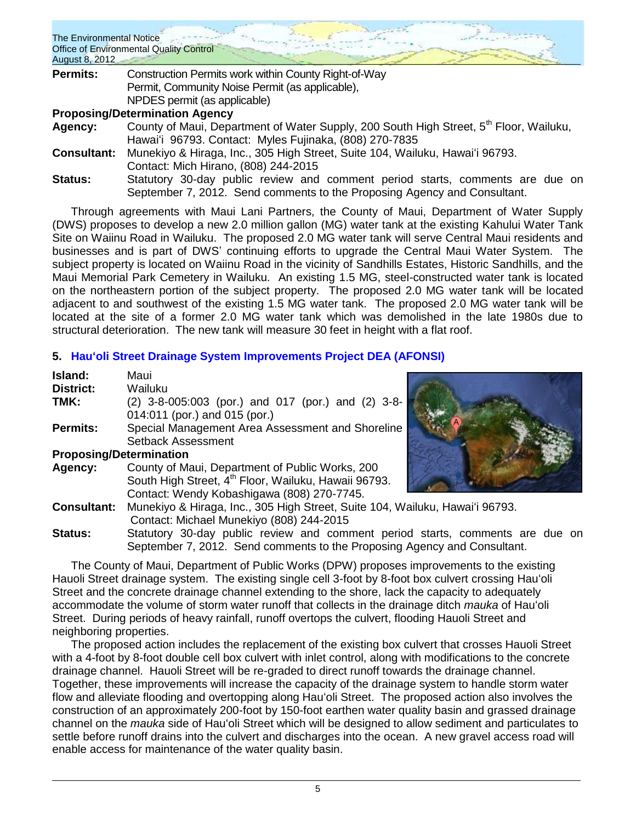| <b>The Environmental Notice</b><br>August 8, 2012 | Office of Environmental Quality Control                                                                                                                   |
|---------------------------------------------------|-----------------------------------------------------------------------------------------------------------------------------------------------------------|
| <b>Permits:</b>                                   | Construction Permits work within County Right-of-Way                                                                                                      |
|                                                   | Permit, Community Noise Permit (as applicable),                                                                                                           |
|                                                   | NPDES permit (as applicable)                                                                                                                              |
|                                                   | <b>Proposing/Determination Agency</b>                                                                                                                     |
| Agency:                                           | County of Maui, Department of Water Supply, 200 South High Street, 5 <sup>th</sup> Floor, Wailuku,                                                        |
|                                                   | Hawai'i 96793. Contact: Myles Fujinaka, (808) 270-7835                                                                                                    |
| <b>Consultant:</b>                                | Munekiyo & Hiraga, Inc., 305 High Street, Suite 104, Wailuku, Hawai'i 96793.                                                                              |
|                                                   | Contact: Mich Hirano, (808) 244-2015                                                                                                                      |
| <b>Status:</b>                                    | Statutory 30-day public review and comment period starts, comments are due on<br>September 7, 2012. Send comments to the Proposing Agency and Consultant. |

Through agreements with Maui Lani Partners, the County of Maui, Department of Water Supply (DWS) proposes to develop a new 2.0 million gallon (MG) water tank at the existing Kahului Water Tank Site on Waiinu Road in Wailuku. The proposed 2.0 MG water tank will serve Central Maui residents and businesses and is part of DWS' continuing efforts to upgrade the Central Maui Water System. The subject property is located on Waiinu Road in the vicinity of Sandhills Estates, Historic Sandhills, and the Maui Memorial Park Cemetery in Wailuku. An existing 1.5 MG, steel-constructed water tank is located on the northeastern portion of the subject property. The proposed 2.0 MG water tank will be located adjacent to and southwest of the existing 1.5 MG water tank. The proposed 2.0 MG water tank will be located at the site of a former 2.0 MG water tank which was demolished in the late 1980s due to structural deterioration. The new tank will measure 30 feet in height with a flat roof.

# **5. [Hauʻoli Street Drainage System Improvements Project DEA \(AFONSI\)](http://oeqc.doh.hawaii.gov/Shared%20Documents/EA_and_EIS_Online_Library/Maui/2010s/2012-08-08-MA-DEA-Hauoli-Street-Drainage-System-Improvements-in-Wailuku-Maui.PDF)**

| Island:                        | Maui                                                                          |
|--------------------------------|-------------------------------------------------------------------------------|
| <b>District:</b>               | Wailuku                                                                       |
| TMK:                           | (2) 3-8-005:003 (por.) and 017 (por.) and (2) 3-8-                            |
|                                | 014:011 (por.) and 015 (por.)                                                 |
| <b>Permits:</b>                | Special Management Area Assessment and Shoreline                              |
|                                | Setback Assessment                                                            |
| <b>Proposing/Determination</b> |                                                                               |
| Agency:                        | County of Maui, Department of Public Works, 200                               |
|                                | South High Street, 4 <sup>th</sup> Floor, Wailuku, Hawaii 96793.              |
|                                | Contact: Wendy Kobashigawa (808) 270-7745.                                    |
| <b>Consultant:</b>             | Munekiyo & Hiraga, Inc., 305 High Street, Suite 104, Wailuku, Hawai'i 96793.  |
|                                | Contact: Michael Munekiyo (808) 244-2015                                      |
| <b>Status:</b>                 | Statutory 30-day public review and comment period starts, comments are due on |
|                                | September 7, 2012. Send comments to the Proposing Agency and Consultant.      |

The County of Maui, Department of Public Works (DPW) proposes improvements to the existing Hauoli Street drainage system. The existing single cell 3-foot by 8-foot box culvert crossing Hauʻoli Street and the concrete drainage channel extending to the shore, lack the capacity to adequately accommodate the volume of storm water runoff that collects in the drainage ditch *mauka* of Hauʻoli Street. During periods of heavy rainfall, runoff overtops the culvert, flooding Hauoli Street and neighboring properties.

The proposed action includes the replacement of the existing box culvert that crosses Hauoli Street with a 4-foot by 8-foot double cell box culvert with inlet control, along with modifications to the concrete drainage channel. Hauoli Street will be re-graded to direct runoff towards the drainage channel. Together, these improvements will increase the capacity of the drainage system to handle storm water flow and alleviate flooding and overtopping along Hauʻoli Street. The proposed action also involves the construction of an approximately 200-foot by 150-foot earthen water quality basin and grassed drainage channel on the *mauka* side of Hauʻoli Street which will be designed to allow sediment and particulates to settle before runoff drains into the culvert and discharges into the ocean. A new gravel access road will enable access for maintenance of the water quality basin.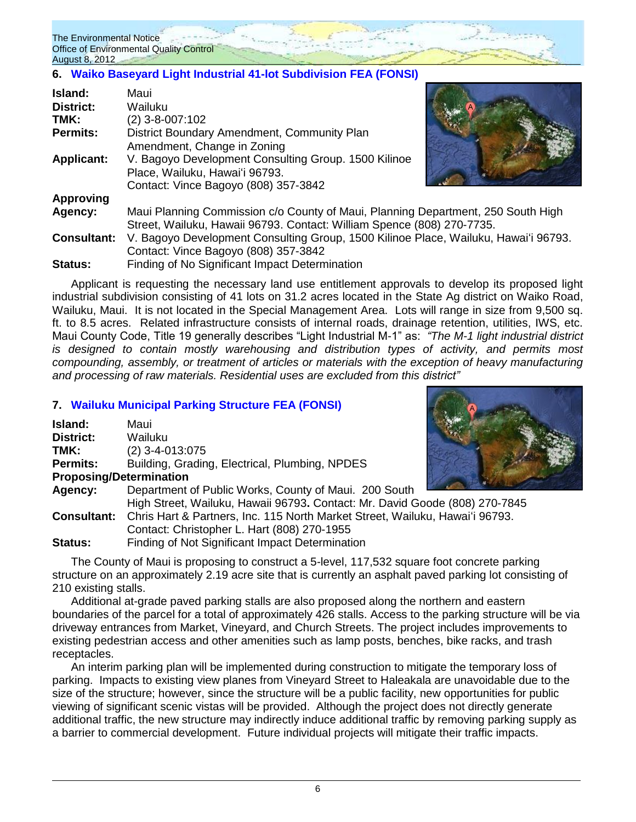# **6. [Waiko Baseyard Light Industrial 41-lot Subdivision](http://oeqc.doh.hawaii.gov/Shared%20Documents/EA_and_EIS_Online_Library/Maui/2010s/2012-08-08-MA-DEA-Waiko-Baseyard-Light-Industrial-Project.pdf) FEA (FONSI)**

| Island:            | Maui                                                                                |  |
|--------------------|-------------------------------------------------------------------------------------|--|
| <b>District:</b>   | Wailuku                                                                             |  |
| TMK:               | (2) 3-8-007:102                                                                     |  |
| <b>Permits:</b>    | District Boundary Amendment, Community Plan                                         |  |
|                    | Amendment, Change in Zoning                                                         |  |
| <b>Applicant:</b>  | V. Bagoyo Development Consulting Group. 1500 Kilinoe                                |  |
|                    | Place, Wailuku, Hawai'i 96793.                                                      |  |
|                    | Contact: Vince Bagoyo (808) 357-3842                                                |  |
| <b>Approving</b>   |                                                                                     |  |
| Agency:            | Maui Planning Commission c/o County of Maui, Planning Department, 250 South High    |  |
|                    | Street, Wailuku, Hawaii 96793. Contact: William Spence (808) 270-7735.              |  |
| <b>Consultant:</b> | V. Bagoyo Development Consulting Group, 1500 Kilinoe Place, Wailuku, Hawai'i 96793. |  |
|                    | Contact: Vince Bagoyo (808) 357-3842                                                |  |
| Status:            | Finding of No Significant Impact Determination                                      |  |

Applicant is requesting the necessary land use entitlement approvals to develop its proposed light industrial subdivision consisting of 41 lots on 31.2 acres located in the State Ag district on Waiko Road, Wailuku, Maui. It is not located in the Special Management Area. Lots will range in size from 9,500 sq. ft. to 8.5 acres. Related infrastructure consists of internal roads, drainage retention, utilities, IWS, etc. Maui County Code, Title 19 generally describes "Light Industrial M-1" as: *"The M-1 light industrial district is designed to contain mostly warehousing and distribution types of activity, and permits most compounding, assembly, or treatment of articles or materials with the exception of heavy manufacturing and processing of raw materials. Residential uses are excluded from this district"*

# **7. [Wailuku Municipal Parking Structure](http://oeqc.doh.hawaii.gov/Shared%20Documents/EA_and_EIS_Online_Library/Maui/2010s/2012-08-08-MA-FEA-Wailuku-Municipal-Parking-Structure.pdf) FEA (FONSI)**

| Island:                        | Maui                                                                         |  |
|--------------------------------|------------------------------------------------------------------------------|--|
| District:                      | Wailuku                                                                      |  |
| TMK:                           | $(2)$ 3-4-013:075                                                            |  |
| <b>Permits:</b>                | Building, Grading, Electrical, Plumbing, NPDES                               |  |
| <b>Proposing/Determination</b> |                                                                              |  |
| Agency:                        | Department of Public Works, County of Maui. 200 South                        |  |
|                                | High Street, Wailuku, Hawaii 96793. Contact: Mr. David Goode (808) 270-7845  |  |
| <b>Consultant:</b>             | Chris Hart & Partners, Inc. 115 North Market Street, Wailuku, Hawai'i 96793. |  |
|                                | Contact: Christopher L. Hart (808) 270-1955                                  |  |
| <b>Status:</b>                 | Finding of Not Significant Impact Determination                              |  |

The County of Maui is proposing to construct a 5-level, 117,532 square foot concrete parking structure on an approximately 2.19 acre site that is currently an asphalt paved parking lot consisting of 210 existing stalls.

Additional at-grade paved parking stalls are also proposed along the northern and eastern boundaries of the parcel for a total of approximately 426 stalls. Access to the parking structure will be via driveway entrances from Market, Vineyard, and Church Streets. The project includes improvements to existing pedestrian access and other amenities such as lamp posts, benches, bike racks, and trash receptacles.

An interim parking plan will be implemented during construction to mitigate the temporary loss of parking. Impacts to existing view planes from Vineyard Street to Haleakala are unavoidable due to the size of the structure; however, since the structure will be a public facility, new opportunities for public viewing of significant scenic vistas will be provided. Although the project does not directly generate additional traffic, the new structure may indirectly induce additional traffic by removing parking supply as a barrier to commercial development. Future individual projects will mitigate their traffic impacts.

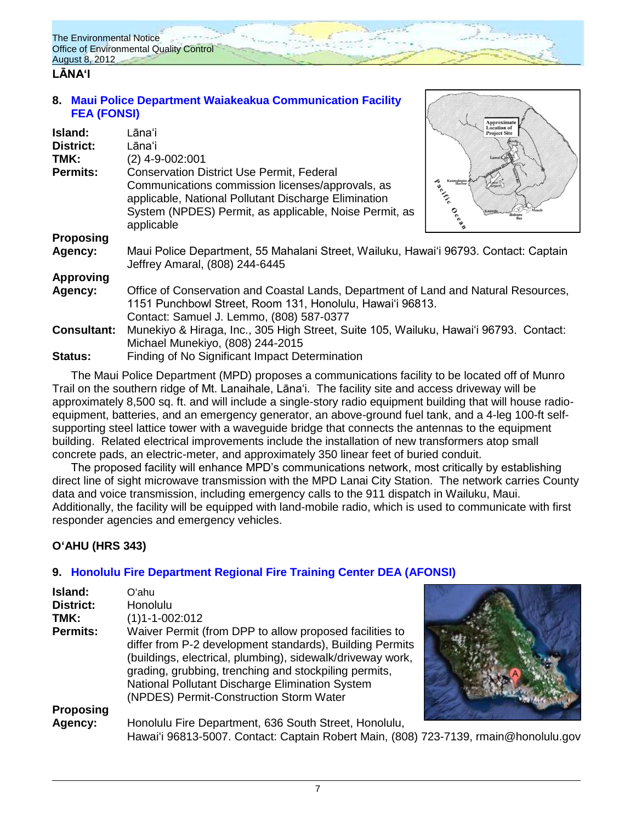# **LĀNAʻI**

**8. [Maui Police Department Waiakeakua Communication Facility](http://oeqc.doh.hawaii.gov/Shared%20Documents/EA_and_EIS_Online_Library/Lanai/2010s/2012-08-08-LA-FEA-Maui-Police-Department-Waiakeakua-Communications-Facility-on-Lanai.pdf)  FEA [\(FONSI\)](http://oeqc.doh.hawaii.gov/Shared%20Documents/EA_and_EIS_Online_Library/Lanai/2010s/2012-08-08-LA-FEA-Maui-Police-Department-Waiakeakua-Communications-Facility-on-Lanai.pdf)**

| Island:            | Lānaʻi                                                                                                                                                                                                                               | <b>Project Site</b>                                             |
|--------------------|--------------------------------------------------------------------------------------------------------------------------------------------------------------------------------------------------------------------------------------|-----------------------------------------------------------------|
| <b>District:</b>   | Lānaʻi                                                                                                                                                                                                                               |                                                                 |
| TMK:               | $(2)$ 4-9-002:001                                                                                                                                                                                                                    |                                                                 |
| Permits:           | <b>Conservation District Use Permit, Federal</b><br>Communications commission licenses/approvals, as<br>applicable, National Pollutant Discharge Elimination<br>System (NPDES) Permit, as applicable, Noise Permit, as<br>applicable | Kaumalapau<br>Harbor<br>to city.<br>$\mathcal{S}^{\mathcal{C}}$ |
| <b>Proposing</b>   |                                                                                                                                                                                                                                      |                                                                 |
| Agency:            | Maui Police Department, 55 Mahalani Street, Wailuku, Hawai'i 96793. Contact: Captain<br>Jeffrey Amaral, (808) 244-6445                                                                                                               |                                                                 |
| <b>Approving</b>   |                                                                                                                                                                                                                                      |                                                                 |
| Agency:            | Office of Conservation and Coastal Lands, Department of Land and Natural Resources,<br>1151 Punchbowl Street, Room 131, Honolulu, Hawai'i 96813.<br>Contact: Samuel J. Lemmo, (808) 587-0377                                         |                                                                 |
| <b>Consultant:</b> | Munekiyo & Hiraga, Inc., 305 High Street, Suite 105, Wailuku, Hawai'i 96793. Contact:<br>Michael Munekiyo, (808) 244-2015                                                                                                            |                                                                 |
| <b>Status:</b>     | Finding of No Significant Impact Determination                                                                                                                                                                                       |                                                                 |

The Maui Police Department (MPD) proposes a communications facility to be located off of Munro Trail on the southern ridge of Mt. Lanaihale, Lānaʻi. The facility site and access driveway will be approximately 8,500 sq. ft. and will include a single-story radio equipment building that will house radioequipment, batteries, and an emergency generator, an above-ground fuel tank, and a 4-leg 100-ft selfsupporting steel lattice tower with a waveguide bridge that connects the antennas to the equipment building. Related electrical improvements include the installation of new transformers atop small concrete pads, an electric-meter, and approximately 350 linear feet of buried conduit.

The proposed facility will enhance MPD's communications network, most critically by establishing direct line of sight microwave transmission with the MPD Lanai City Station. The network carries County data and voice transmission, including emergency calls to the 911 dispatch in Wailuku, Maui. Additionally, the facility will be equipped with land-mobile radio, which is used to communicate with first responder agencies and emergency vehicles.

# **OʻAHU (HRS 343)**

# **9. [Honolulu Fire Department Regional Fire Training Center](http://oeqc.doh.hawaii.gov/Shared%20Documents/EA_and_EIS_Online_Library/Oahu/2010s/2012-08-08-OA-DEA-Honolulu-Fire-Department-Regional-Training-Center.pdf) DEA (AFONSI)**

| Island:          | Oʻahu                                                                                                                                                                                                                                                                                                                                    |  |
|------------------|------------------------------------------------------------------------------------------------------------------------------------------------------------------------------------------------------------------------------------------------------------------------------------------------------------------------------------------|--|
| <b>District:</b> | Honolulu                                                                                                                                                                                                                                                                                                                                 |  |
| TMK:             | $(1)1 - 1 - 002:012$                                                                                                                                                                                                                                                                                                                     |  |
| <b>Permits:</b>  | Waiver Permit (from DPP to allow proposed facilities to<br>differ from P-2 development standards), Building Permits<br>(buildings, electrical, plumbing), sidewalk/driveway work,<br>grading, grubbing, trenching and stockpiling permits,<br>National Pollutant Discharge Elimination System<br>(NPDES) Permit-Construction Storm Water |  |
| <b>Proposing</b> |                                                                                                                                                                                                                                                                                                                                          |  |
| Agency:          | Honolulu Fire Department, 636 South Street, Honolulu,<br>Hawai'i 96813-5007. Contact: Captain Robert Main, (808) 723-7139, rmain@honolulu.gov                                                                                                                                                                                            |  |

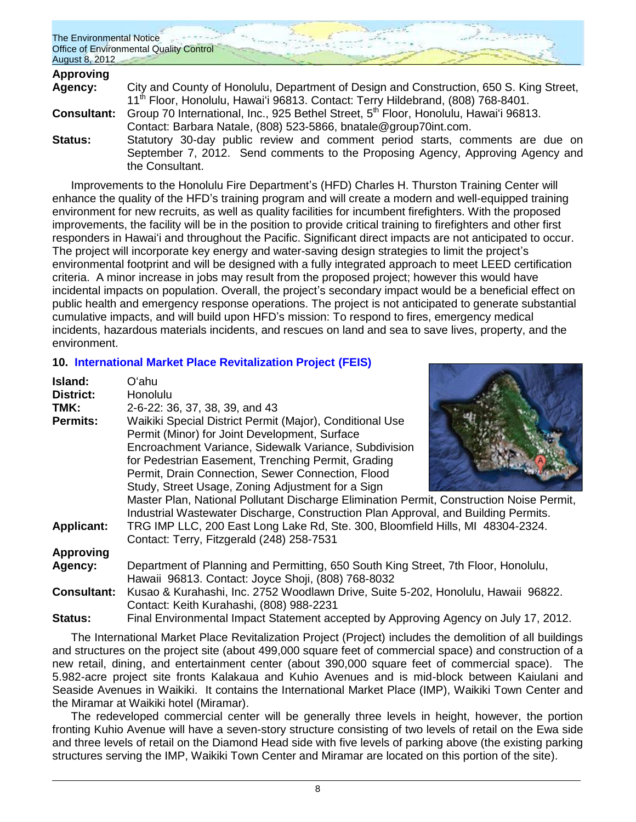| The Environmental Notice                |  |
|-----------------------------------------|--|
| Office of Environmental Quality Control |  |
| August 8, 2012                          |  |

| <b>Approving</b>   |                                                                                             |
|--------------------|---------------------------------------------------------------------------------------------|
| Agency:            | City and County of Honolulu, Department of Design and Construction, 650 S. King Street,     |
|                    | 11 <sup>th</sup> Floor, Honolulu, Hawai'i 96813. Contact: Terry Hildebrand, (808) 768-8401. |
| <b>Consultant:</b> | Group 70 International, Inc., 925 Bethel Street, 5th Floor, Honolulu, Hawai'i 96813.        |
|                    | Contact: Barbara Natale, (808) 523-5866, bnatale@group70int.com.                            |
| <b>Status:</b>     | Statutory 30-day public review and comment period starts, comments are due on               |
|                    | September 7, 2012. Send comments to the Proposing Agency, Approving Agency and              |
|                    | the Consultant.                                                                             |

Improvements to the Honolulu Fire Department's (HFD) Charles H. Thurston Training Center will enhance the quality of the HFD's training program and will create a modern and well-equipped training environment for new recruits, as well as quality facilities for incumbent firefighters. With the proposed improvements, the facility will be in the position to provide critical training to firefighters and other first responders in Hawaiʻi and throughout the Pacific. Significant direct impacts are not anticipated to occur. The project will incorporate key energy and water-saving design strategies to limit the project's environmental footprint and will be designed with a fully integrated approach to meet LEED certification criteria. A minor increase in jobs may result from the proposed project; however this would have incidental impacts on population. Overall, the project's secondary impact would be a beneficial effect on public health and emergency response operations. The project is not anticipated to generate substantial cumulative impacts, and will build upon HFD's mission: To respond to fires, emergency medical incidents, hazardous materials incidents, and rescues on land and sea to save lives, property, and the environment.

# **10. [International Market Place Revitalization Project](http://oeqc.doh.hawaii.gov/Shared%20Documents/EA_and_EIS_Online_Library/Oahu/2010s/2012-08-08-OA-FEIS-International-Marketplace-Revitalization-Project-Document-Portfolio.pdf) (FEIS)**

| Island:            | Oʻahu                                                                                    |
|--------------------|------------------------------------------------------------------------------------------|
| <b>District:</b>   | Honolulu                                                                                 |
| TMK:               | 2-6-22: 36, 37, 38, 39, and 43                                                           |
| <b>Permits:</b>    | Waikiki Special District Permit (Major), Conditional Use                                 |
|                    | Permit (Minor) for Joint Development, Surface                                            |
|                    | Encroachment Variance, Sidewalk Variance, Subdivision                                    |
|                    | for Pedestrian Easement, Trenching Permit, Grading                                       |
|                    | Permit, Drain Connection, Sewer Connection, Flood                                        |
|                    | Study, Street Usage, Zoning Adjustment for a Sign                                        |
|                    | Master Plan, National Pollutant Discharge Elimination Permit, Construction Noise Permit, |
|                    | Industrial Wastewater Discharge, Construction Plan Approval, and Building Permits.       |
| <b>Applicant:</b>  | TRG IMP LLC, 200 East Long Lake Rd, Ste. 300, Bloomfield Hills, MI 48304-2324.           |
|                    | Contact: Terry, Fitzgerald (248) 258-7531                                                |
| <b>Approving</b>   |                                                                                          |
| Agency:            | Department of Planning and Permitting, 650 South King Street, 7th Floor, Honolulu,       |
|                    | Hawaii 96813. Contact: Joyce Shoji, (808) 768-8032                                       |
| <b>Consultant:</b> | Kusao & Kurahashi, Inc. 2752 Woodlawn Drive, Suite 5-202, Honolulu, Hawaii 96822.        |
|                    | Contact: Keith Kurahashi, (808) 988-2231                                                 |
| <b>Status:</b>     | Final Environmental Impact Statement accepted by Approving Agency on July 17, 2012.      |

The International Market Place Revitalization Project (Project) includes the demolition of all buildings and structures on the project site (about 499,000 square feet of commercial space) and construction of a new retail, dining, and entertainment center (about 390,000 square feet of commercial space). The 5.982-acre project site fronts Kalakaua and Kuhio Avenues and is mid-block between Kaiulani and Seaside Avenues in Waikiki. It contains the International Market Place (IMP), Waikiki Town Center and the Miramar at Waikiki hotel (Miramar).

The redeveloped commercial center will be generally three levels in height, however, the portion fronting Kuhio Avenue will have a seven-story structure consisting of two levels of retail on the Ewa side and three levels of retail on the Diamond Head side with five levels of parking above (the existing parking structures serving the IMP, Waikiki Town Center and Miramar are located on this portion of the site).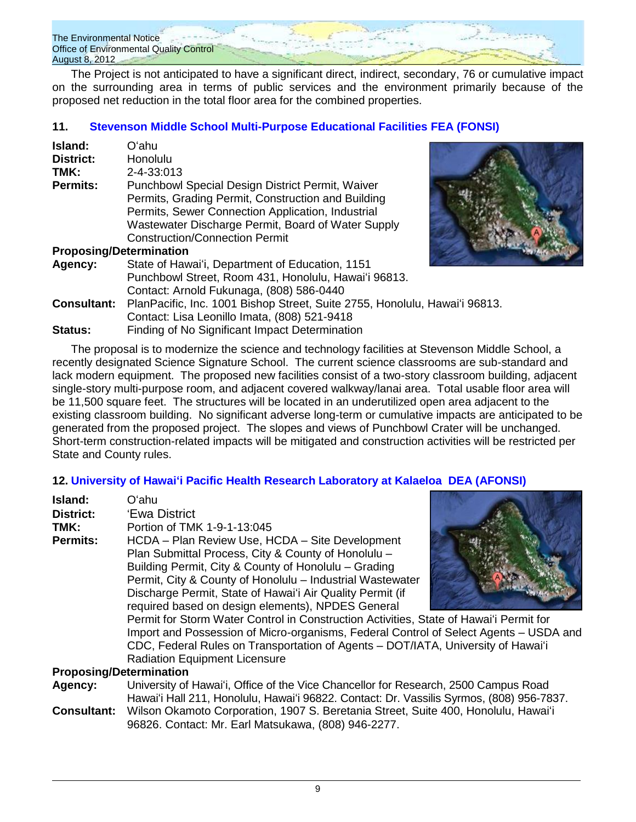

The Project is not anticipated to have a significant direct, indirect, secondary, 76 or cumulative impact on the surrounding area in terms of public services and the environment primarily because of the proposed net reduction in the total floor area for the combined properties.

# **11. [Stevenson Middle School Multi-Purpose Educational Facilities FEA](http://oeqc.doh.hawaii.gov/Shared%20Documents/EA_and_EIS_Online_Library/Oahu/2010s/2012-08-08-OA-FEA-Stevenson-Middle-School-Multipurpose-Educational-Facilities.pdf) (FONSI)**

| Island:<br><b>District:</b>    | Oʻahu<br>Honolulu                                                                                                                                                                                                                                                 |
|--------------------------------|-------------------------------------------------------------------------------------------------------------------------------------------------------------------------------------------------------------------------------------------------------------------|
| TMK:                           | 2-4-33:013                                                                                                                                                                                                                                                        |
| <b>Permits:</b>                | <b>Punchbowl Special Design District Permit, Waiver</b><br>Permits, Grading Permit, Construction and Building<br>Permits, Sewer Connection Application, Industrial<br>Wastewater Discharge Permit, Board of Water Supply<br><b>Construction/Connection Permit</b> |
| <b>Proposing/Determination</b> |                                                                                                                                                                                                                                                                   |
| Agency:                        | State of Hawai'i, Department of Education, 1151<br>Punchbowl Street, Room 431, Honolulu, Hawai'i 96813.<br>Contact: Arnold Fukunaga, (808) 586-0440                                                                                                               |
| <b>Consultant:</b>             | PlanPacific, Inc. 1001 Bishop Street, Suite 2755, Honolulu, Hawai'i 96813.<br>Contact: Lisa Leonillo Imata, (808) 521-9418                                                                                                                                        |
| Status:                        | Finding of No Significant Impact Determination                                                                                                                                                                                                                    |

The proposal is to modernize the science and technology facilities at Stevenson Middle School, a recently designated Science Signature School. The current science classrooms are sub-standard and lack modern equipment. The proposed new facilities consist of a two-story classroom building, adjacent single-story multi-purpose room, and adjacent covered walkway/lanai area. Total usable floor area will be 11,500 square feet. The structures will be located in an underutilized open area adjacent to the existing classroom building. No significant adverse long-term or cumulative impacts are anticipated to be generated from the proposed project. The slopes and views of Punchbowl Crater will be unchanged. Short-term construction-related impacts will be mitigated and construction activities will be restricted per State and County rules.

# **12. [University of Hawaiʻi Pacific Health Research Laboratory at Kalaeloa](http://oeqc.doh.hawaii.gov/Shared%20Documents/EA_and_EIS_Online_Library/Oahu/2010s/2012-08-08-OA-DEA-Kalaeloa-University-of-Hawaii-Pacific-Health-Research-Laboratory.pdf) DEA (AFONSI)**

| Island:                        | Oʻahu                                                                                    |
|--------------------------------|------------------------------------------------------------------------------------------|
| <b>District:</b>               | 'Ewa District                                                                            |
| TMK:                           | Portion of TMK 1-9-1-13:045                                                              |
| <b>Permits:</b>                | HCDA - Plan Review Use, HCDA - Site Development                                          |
|                                | Plan Submittal Process, City & County of Honolulu -                                      |
|                                | Building Permit, City & County of Honolulu – Grading                                     |
|                                | Permit, City & County of Honolulu - Industrial Wastewater                                |
|                                | Discharge Permit, State of Hawai'i Air Quality Permit (if                                |
|                                | required based on design elements), NPDES General                                        |
|                                | Permit for Storm Water Control in Construction Activities, State of Hawai'i Permit for   |
|                                | Import and Possession of Micro-organisms, Federal Control of Select Agents – USDA and    |
|                                | CDC, Federal Rules on Transportation of Agents - DOT/IATA, University of Hawai'i         |
|                                | <b>Radiation Equipment Licensure</b>                                                     |
| <b>Proposing/Determination</b> |                                                                                          |
| Agency:                        | University of Hawai'i, Office of the Vice Chancellor for Research, 2500 Campus Road      |
|                                | Hawai'i Hall 211, Honolulu, Hawai'i 96822. Contact: Dr. Vassilis Syrmos, (808) 956-7837. |
| <b>Consultant:</b>             | Wilson Okamoto Corporation, 1907 S. Beretania Street, Suite 400, Honolulu, Hawai'i       |

96826. Contact: Mr. Earl Matsukawa, (808) 946-2277.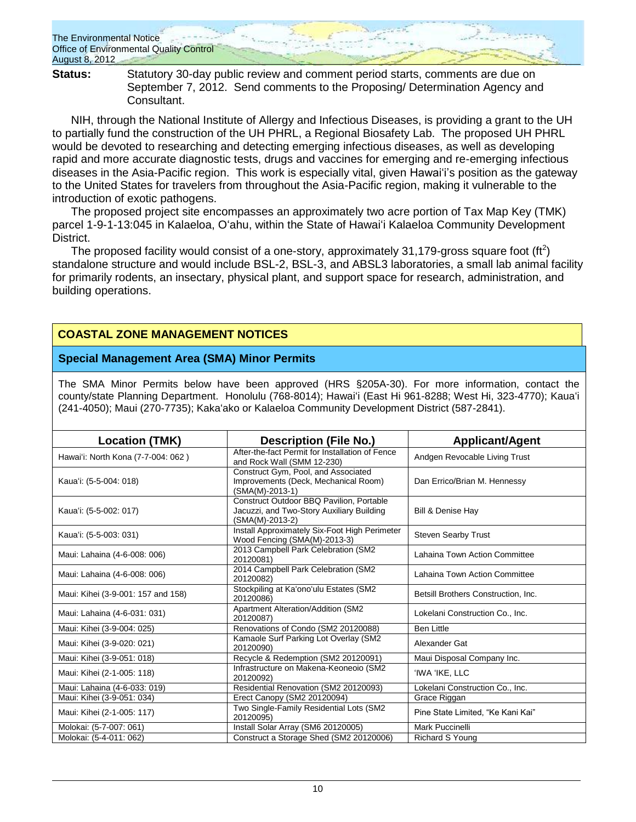

**Status:** Statutory 30-day public review and comment period starts, comments are due on September 7, 2012. Send comments to the Proposing/ Determination Agency and Consultant.

NIH, through the National Institute of Allergy and Infectious Diseases, is providing a grant to the UH to partially fund the construction of the UH PHRL, a Regional Biosafety Lab. The proposed UH PHRL would be devoted to researching and detecting emerging infectious diseases, as well as developing rapid and more accurate diagnostic tests, drugs and vaccines for emerging and re-emerging infectious diseases in the Asia-Pacific region. This work is especially vital, given Hawaiʻi's position as the gateway to the United States for travelers from throughout the Asia-Pacific region, making it vulnerable to the introduction of exotic pathogens.

The proposed project site encompasses an approximately two acre portion of Tax Map Key (TMK) parcel 1-9-1-13:045 in Kalaeloa, Oʻahu, within the State of Hawaiʻi Kalaeloa Community Development District.

The proposed facility would consist of a one-story, approximately 31,179-gross square foot (ft<sup>2</sup>) standalone structure and would include BSL-2, BSL-3, and ABSL3 laboratories, a small lab animal facility for primarily rodents, an insectary, physical plant, and support space for research, administration, and building operations.

# **COASTAL ZONE MANAGEMENT NOTICES**

### **Special Management Area (SMA) Minor Permits**

The SMA Minor Permits below have been approved (HRS §205A-30). For more information, contact the county/state Planning Department. Honolulu (768-8014); Hawaiʻi (East Hi 961-8288; West Hi, 323-4770); Kauaʻi (241-4050); Maui (270-7735); Kakaʻako or Kalaeloa Community Development District (587-2841).

| <b>Location (TMK)</b>              | <b>Description (File No.)</b>                                                                                   | <b>Applicant/Agent</b>              |
|------------------------------------|-----------------------------------------------------------------------------------------------------------------|-------------------------------------|
| Hawai'i: North Kona (7-7-004: 062) | After-the-fact Permit for Installation of Fence<br>and Rock Wall (SMM 12-230)                                   | Andgen Revocable Living Trust       |
| Kaua'i: (5-5-004: 018)             | Construct Gym, Pool, and Associated<br>Improvements (Deck, Mechanical Room)<br>(SMA(M)-2013-1)                  | Dan Errico/Brian M. Hennessy        |
| Kaua'i: (5-5-002: 017)             | <b>Construct Outdoor BBQ Pavilion. Portable</b><br>Jacuzzi, and Two-Story Auxiliary Building<br>(SMA(M)-2013-2) | Bill & Denise Hay                   |
| Kaua'i: (5-5-003: 031)             | Install Approximately Six-Foot High Perimeter<br>Wood Fencing (SMA(M)-2013-3)                                   | Steven Searby Trust                 |
| Maui: Lahaina (4-6-008: 006)       | 2013 Campbell Park Celebration (SM2<br>20120081)                                                                | Lahaina Town Action Committee       |
| Maui: Lahaina (4-6-008: 006)       | 2014 Campbell Park Celebration (SM2<br>20120082)                                                                | Lahaina Town Action Committee       |
| Maui: Kihei (3-9-001: 157 and 158) | Stockpiling at Ka'ono'ulu Estates (SM2<br>20120086)                                                             | Betsill Brothers Construction, Inc. |
| Maui: Lahaina (4-6-031: 031)       | Apartment Alteration/Addition (SM2<br>20120087)                                                                 | Lokelani Construction Co., Inc.     |
| Maui: Kihei (3-9-004: 025)         | Renovations of Condo (SM2 20120088)                                                                             | <b>Ben Little</b>                   |
| Maui: Kihei (3-9-020: 021)         | Kamaole Surf Parking Lot Overlay (SM2<br>20120090)                                                              | Alexander Gat                       |
| Maui: Kihei (3-9-051: 018)         | Recycle & Redemption (SM2 20120091)                                                                             | Maui Disposal Company Inc.          |
| Maui: Kihei (2-1-005: 118)         | Infrastructure on Makena-Keoneoio (SM2<br>20120092)                                                             | 'IWA 'IKE, LLC                      |
| Maui: Lahaina (4-6-033: 019)       | Residential Renovation (SM2 20120093)                                                                           | Lokelani Construction Co., Inc.     |
| Maui: Kihei (3-9-051: 034)         | Erect Canopy (SM2 20120094)                                                                                     | Grace Riggan                        |
| Maui: Kihei (2-1-005: 117)         | Two Single-Family Residential Lots (SM2<br>20120095)                                                            | Pine State Limited, "Ke Kani Kai"   |
| Molokai: (5-7-007: 061)            | Install Solar Array (SM6 20120005)                                                                              | Mark Puccinelli                     |
| Molokai: (5-4-011: 062)            | Construct a Storage Shed (SM2 20120006)                                                                         | Richard S Young                     |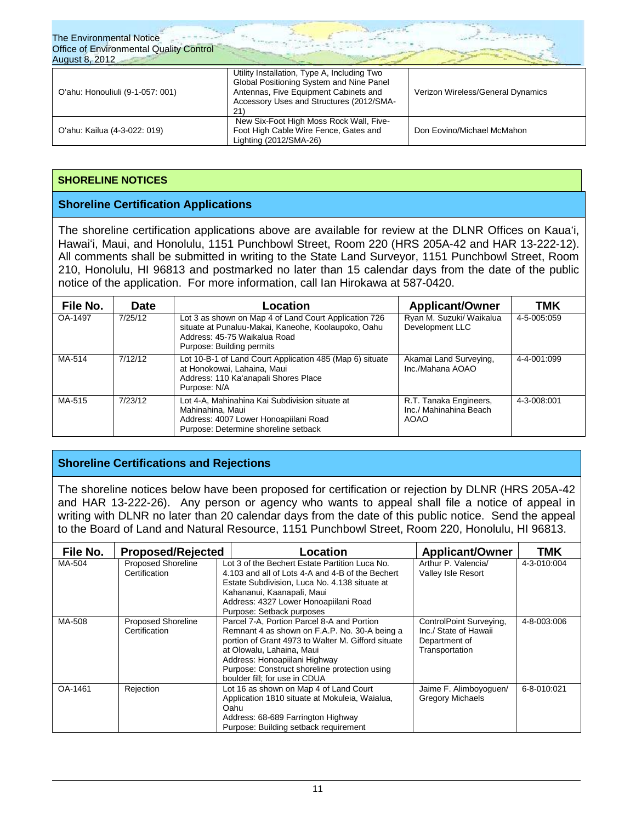| <b>The Environmental Notice</b><br>Office of Environmental Quality Control<br><b>August 8, 2012</b> |                                                                                                                                                                                     |                                   |
|-----------------------------------------------------------------------------------------------------|-------------------------------------------------------------------------------------------------------------------------------------------------------------------------------------|-----------------------------------|
| O'ahu: Honouliuli (9-1-057: 001)                                                                    | Utility Installation, Type A, Including Two<br>Global Positioning System and Nine Panel<br>Antennas, Five Equipment Cabinets and<br>Accessory Uses and Structures (2012/SMA-<br>21) | Verizon Wireless/General Dynamics |
| O'ahu: Kailua (4-3-022: 019)                                                                        | New Six-Foot High Moss Rock Wall, Five-<br>Foot High Cable Wire Fence, Gates and<br>Lighting (2012/SMA-26)                                                                          | Don Eovino/Michael McMahon        |

### **SHORELINE NOTICES**

# **Shoreline Certification Applications**

The shoreline certification applications above are available for review at the DLNR Offices on Kauaʻi, Hawaiʻi, Maui, and Honolulu, 1151 Punchbowl Street, Room 220 (HRS 205A-42 and HAR 13-222-12). All comments shall be submitted in writing to the State Land Surveyor, 1151 Punchbowl Street, Room 210, Honolulu, HI 96813 and postmarked no later than 15 calendar days from the date of the public notice of the application. For more information, call Ian Hirokawa at 587-0420.

| File No. | <b>Date</b> | Location                                                                                                                                                                  | <b>Applicant/Owner</b>                                          | TMK         |
|----------|-------------|---------------------------------------------------------------------------------------------------------------------------------------------------------------------------|-----------------------------------------------------------------|-------------|
| OA-1497  | 7/25/12     | Lot 3 as shown on Map 4 of Land Court Application 726<br>situate at Punaluu-Makai, Kaneohe, Koolaupoko, Oahu<br>Address: 45-75 Waikalua Road<br>Purpose: Building permits | Ryan M. Suzuki/ Waikalua<br>Development LLC                     | 4-5-005:059 |
| MA-514   | 7/12/12     | Lot 10-B-1 of Land Court Application 485 (Map 6) situate<br>at Honokowai, Lahaina, Maui<br>Address: 110 Ka'anapali Shores Place<br>Purpose: N/A                           | Akamai Land Surveying,<br>Inc./Mahana AOAO                      | 4-4-001:099 |
| MA-515   | 7/23/12     | Lot 4-A, Mahinahina Kai Subdivision situate at<br>Mahinahina, Maui<br>Address: 4007 Lower Honoapiilani Road<br>Purpose: Determine shoreline setback                       | R.T. Tanaka Engineers,<br>Inc./ Mahinahina Beach<br><b>AOAO</b> | 4-3-008:001 |

# **Shoreline Certifications and Rejections**

The shoreline notices below have been proposed for certification or rejection by DLNR (HRS 205A-42 and HAR 13-222-26). Any person or agency who wants to appeal shall file a notice of appeal in writing with DLNR no later than 20 calendar days from the date of this public notice. Send the appeal to the Board of Land and Natural Resource, 1151 Punchbowl Street, Room 220, Honolulu, HI 96813.

| File No. | <b>Proposed/Rejected</b>                   | Location                                                                                                                                                                                                                                                                                          | <b>Applicant/Owner</b>                                                              | TMK         |
|----------|--------------------------------------------|---------------------------------------------------------------------------------------------------------------------------------------------------------------------------------------------------------------------------------------------------------------------------------------------------|-------------------------------------------------------------------------------------|-------------|
| MA-504   | <b>Proposed Shoreline</b><br>Certification | Lot 3 of the Bechert Estate Partition Luca No.<br>4.103 and all of Lots 4-A and 4-B of the Bechert<br>Estate Subdivision, Luca No. 4.138 situate at<br>Kahananui, Kaanapali, Maui<br>Address: 4327 Lower Honoapiilani Road<br>Purpose: Setback purposes                                           | Arthur P. Valencia/<br><b>Valley Isle Resort</b>                                    | 4-3-010:004 |
| MA-508   | Proposed Shoreline<br>Certification        | Parcel 7-A, Portion Parcel 8-A and Portion<br>Remnant 4 as shown on F.A.P. No. 30-A being a<br>portion of Grant 4973 to Walter M. Gifford situate<br>at Olowalu, Lahaina, Maui<br>Address: Honoapiilani Highway<br>Purpose: Construct shoreline protection using<br>boulder fill; for use in CDUA | ControlPoint Surveying,<br>Inc./ State of Hawaii<br>Department of<br>Transportation | 4-8-003:006 |
| OA-1461  | Rejection                                  | Lot 16 as shown on Map 4 of Land Court<br>Application 1810 situate at Mokuleia, Waialua,<br>Oahu<br>Address: 68-689 Farrington Highway<br>Purpose: Building setback requirement                                                                                                                   | Jaime F. Alimboyoguen/<br><b>Gregory Michaels</b>                                   | 6-8-010:021 |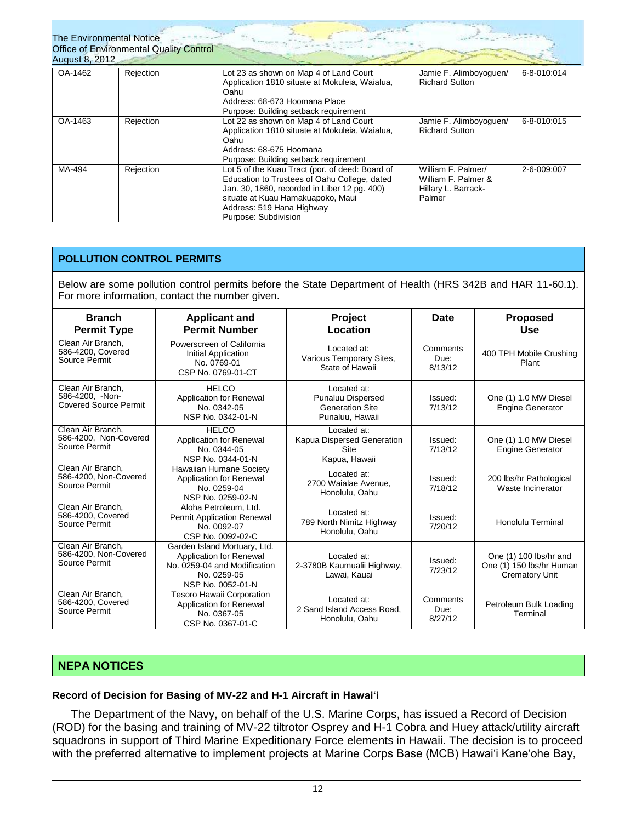| <b>The Environmental Notice</b><br><b>August 8, 2012</b> | <b>Office of Environmental Quality Control</b> |                                                                                                                                                                                                                                           |                                                                            |             |
|----------------------------------------------------------|------------------------------------------------|-------------------------------------------------------------------------------------------------------------------------------------------------------------------------------------------------------------------------------------------|----------------------------------------------------------------------------|-------------|
| OA-1462                                                  | Rejection                                      | Lot 23 as shown on Map 4 of Land Court<br>Application 1810 situate at Mokuleia, Waialua,<br>Oahu<br>Address: 68-673 Hoomana Place<br>Purpose: Building setback requirement                                                                | Jamie F. Alimboyoguen/<br><b>Richard Sutton</b>                            | 6-8-010:014 |
| OA-1463                                                  | Rejection                                      | Lot 22 as shown on Map 4 of Land Court<br>Application 1810 situate at Mokuleia, Waialua,<br>Oahu<br>Address: 68-675 Hoomana<br>Purpose: Building setback requirement                                                                      | Jamie F. Alimboyoguen/<br><b>Richard Sutton</b>                            | 6-8-010:015 |
| MA-494                                                   | Rejection                                      | Lot 5 of the Kuau Tract (por. of deed: Board of<br>Education to Trustees of Oahu College, dated<br>Jan. 30, 1860, recorded in Liber 12 pg. 400)<br>situate at Kuau Hamakuapoko, Maui<br>Address: 519 Hana Highway<br>Purpose: Subdivision | William F. Palmer/<br>William F. Palmer &<br>Hillary L. Barrack-<br>Palmer | 2-6-009:007 |

### **POLLUTION CONTROL PERMITS**

Below are some pollution control permits before the State Department of Health (HRS 342B and HAR 11-60.1). For more information, contact the number given.

| <b>Branch</b><br><b>Permit Type</b>                                  | <b>Applicant and</b><br><b>Permit Number</b>                                                                                | Project<br>Location                                                                  | Date                        | <b>Proposed</b><br>Use                                                      |
|----------------------------------------------------------------------|-----------------------------------------------------------------------------------------------------------------------------|--------------------------------------------------------------------------------------|-----------------------------|-----------------------------------------------------------------------------|
| Clean Air Branch,<br>586-4200, Covered<br>Source Permit              | Powerscreen of California<br>Initial Application<br>No. 0769-01<br>CSP No. 0769-01-CT                                       | Located at:<br>Various Temporary Sites,<br>State of Hawaii                           | Comments<br>Due:<br>8/13/12 | 400 TPH Mobile Crushing<br>Plant                                            |
| Clean Air Branch.<br>586-4200, -Non-<br><b>Covered Source Permit</b> | <b>HELCO</b><br>Application for Renewal<br>No. 0342-05<br>NSP No. 0342-01-N                                                 | Located at:<br><b>Punaluu Dispersed</b><br><b>Generation Site</b><br>Punaluu, Hawaii | Issued:<br>7/13/12          | One (1) 1.0 MW Diesel<br><b>Engine Generator</b>                            |
| Clean Air Branch.<br>586-4200, Non-Covered<br>Source Permit          | <b>HELCO</b><br>Application for Renewal<br>No. 0344-05<br>NSP No. 0344-01-N                                                 | Located at:<br>Kapua Dispersed Generation<br>Site<br>Kapua, Hawaii                   | Issued:<br>7/13/12          | One (1) 1.0 MW Diesel<br><b>Engine Generator</b>                            |
| Clean Air Branch.<br>586-4200, Non-Covered<br>Source Permit          | Hawaiian Humane Society<br>Application for Renewal<br>No. 0259-04<br>NSP No. 0259-02-N                                      | Located at:<br>2700 Waialae Avenue.<br>Honolulu, Oahu                                | Issued:<br>7/18/12          | 200 lbs/hr Pathological<br>Waste Incinerator                                |
| Clean Air Branch.<br>586-4200, Covered<br>Source Permit              | Aloha Petroleum. Ltd.<br><b>Permit Application Renewal</b><br>No. 0092-07<br>CSP No. 0092-02-C                              | Located at:<br>789 North Nimitz Highway<br>Honolulu, Oahu                            | Issued:<br>7/20/12          | <b>Honolulu Terminal</b>                                                    |
| Clean Air Branch.<br>586-4200, Non-Covered<br>Source Permit          | Garden Island Mortuary, Ltd.<br>Application for Renewal<br>No. 0259-04 and Modification<br>No. 0259-05<br>NSP No. 0052-01-N | Located at:<br>2-3780B Kaumualii Highway,<br>Lawai, Kauai                            | Issued:<br>7/23/12          | One (1) 100 lbs/hr and<br>One (1) 150 lbs/hr Human<br><b>Crematory Unit</b> |
| Clean Air Branch.<br>586-4200, Covered<br>Source Permit              | <b>Tesoro Hawaii Corporation</b><br><b>Application for Renewal</b><br>No. 0367-05<br>CSP No. 0367-01-C                      | Located at:<br>2 Sand Island Access Road.<br>Honolulu, Oahu                          | Comments<br>Due:<br>8/27/12 | Petroleum Bulk Loading<br>Terminal                                          |

# **NEPA NOTICES**

### **Record of Decision for Basing of MV-22 and H-1 Aircraft in Hawaiʻi**

The Department of the Navy, on behalf of the U.S. Marine Corps, has issued a Record of Decision (ROD) for the basing and training of MV-22 tiltrotor Osprey and H-1 Cobra and Huey attack/utility aircraft squadrons in support of Third Marine Expeditionary Force elements in Hawaii. The decision is to proceed with the preferred alternative to implement projects at Marine Corps Base (MCB) Hawaiʻi Kaneʻohe Bay,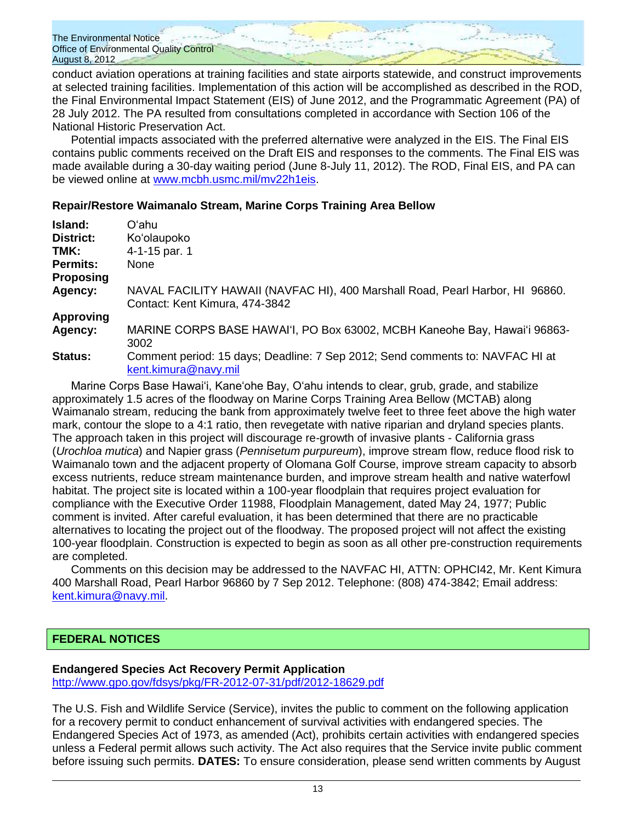conduct aviation operations at training facilities and state airports statewide, and construct improvements at selected training facilities. Implementation of this action will be accomplished as described in the ROD, the Final Environmental Impact Statement (EIS) of June 2012, and the Programmatic Agreement (PA) of 28 July 2012. The PA resulted from consultations completed in accordance with Section 106 of the National Historic Preservation Act.

Potential impacts associated with the preferred alternative were analyzed in the EIS. The Final EIS contains public comments received on the Draft EIS and responses to the comments. The Final EIS was made available during a 30-day waiting period (June 8-July 11, 2012). The ROD, Final EIS, and PA can be viewed online at [www.mcbh.usmc.mil/mv22h1eis.](http://www.mcbh.usmc.mil/mv22h1eis)

# **Repair/Restore Waimanalo Stream, Marine Corps Training Area Bellow**

| Island:          | Oʻahu                                                                                                 |
|------------------|-------------------------------------------------------------------------------------------------------|
| <b>District:</b> | Ko'olaupoko                                                                                           |
| TMK:             | 4-1-15 par. 1                                                                                         |
| <b>Permits:</b>  | None                                                                                                  |
| <b>Proposing</b> |                                                                                                       |
| Agency:          | NAVAL FACILITY HAWAII (NAVFAC HI), 400 Marshall Road, Pearl Harbor, HI 96860.                         |
|                  | Contact: Kent Kimura, 474-3842                                                                        |
| <b>Approving</b> |                                                                                                       |
| Agency:          | MARINE CORPS BASE HAWAI'I, PO Box 63002, MCBH Kaneohe Bay, Hawai'i 96863-<br>3002                     |
| Status:          | Comment period: 15 days; Deadline: 7 Sep 2012; Send comments to: NAVFAC HI at<br>kent.kimura@navy.mil |
|                  |                                                                                                       |

Marine Corps Base Hawaiʻi, Kaneʻohe Bay, Oʻahu intends to clear, grub, grade, and stabilize approximately 1.5 acres of the floodway on Marine Corps Training Area Bellow (MCTAB) along Waimanalo stream, reducing the bank from approximately twelve feet to three feet above the high water mark, contour the slope to a 4:1 ratio, then revegetate with native riparian and dryland species plants. The approach taken in this project will discourage re-growth of invasive plants - California grass (*Urochloa mutica*) and Napier grass (*Pennisetum purpureum*), improve stream flow, reduce flood risk to Waimanalo town and the adjacent property of Olomana Golf Course, improve stream capacity to absorb excess nutrients, reduce stream maintenance burden, and improve stream health and native waterfowl habitat. The project site is located within a 100-year floodplain that requires project evaluation for compliance with the Executive Order 11988, Floodplain Management, dated May 24, 1977; Public comment is invited. After careful evaluation, it has been determined that there are no practicable alternatives to locating the project out of the floodway. The proposed project will not affect the existing 100-year floodplain. Construction is expected to begin as soon as all other pre-construction requirements are completed.

Comments on this decision may be addressed to the NAVFAC HI, ATTN: OPHCI42, Mr. Kent Kimura 400 Marshall Road, Pearl Harbor 96860 by 7 Sep 2012. Telephone: (808) 474-3842; Email address: [kent.kimura@navy.mil.](mailto:kent.kimura@navy.mil)

# **FEDERAL NOTICES**

# **Endangered Species Act Recovery Permit Application**

<http://www.gpo.gov/fdsys/pkg/FR-2012-07-31/pdf/2012-18629.pdf>

The U.S. Fish and Wildlife Service (Service), invites the public to comment on the following application for a recovery permit to conduct enhancement of survival activities with endangered species. The Endangered Species Act of 1973, as amended (Act), prohibits certain activities with endangered species unless a Federal permit allows such activity. The Act also requires that the Service invite public comment before issuing such permits. **DATES:** To ensure consideration, please send written comments by August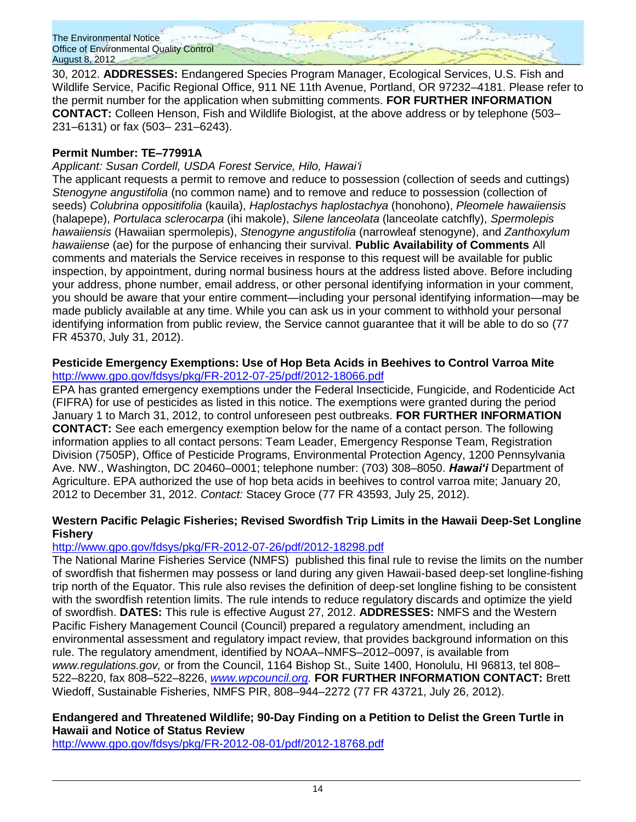30, 2012. **ADDRESSES:** Endangered Species Program Manager, Ecological Services, U.S. Fish and Wildlife Service, Pacific Regional Office, 911 NE 11th Avenue, Portland, OR 97232–4181. Please refer to the permit number for the application when submitting comments. **FOR FURTHER INFORMATION CONTACT:** Colleen Henson, Fish and Wildlife Biologist, at the above address or by telephone (503– 231–6131) or fax (503– 231–6243).

# **Permit Number: TE–77991A**

# *Applicant: Susan Cordell, USDA Forest Service, Hilo, Hawaiʻi*

The applicant requests a permit to remove and reduce to possession (collection of seeds and cuttings) *Stenogyne angustifolia* (no common name) and to remove and reduce to possession (collection of seeds) *Colubrina oppositifolia* (kauila), *Haplostachys haplostachya* (honohono), *Pleomele hawaiiensis*  (halapepe), *Portulaca sclerocarpa* (ihi makole), *Silene lanceolata* (lanceolate catchfly), *Spermolepis hawaiiensis* (Hawaiian spermolepis), *Stenogyne angustifolia* (narrowleaf stenogyne), and *Zanthoxylum hawaiiense* (ae) for the purpose of enhancing their survival. **Public Availability of Comments** All comments and materials the Service receives in response to this request will be available for public inspection, by appointment, during normal business hours at the address listed above. Before including your address, phone number, email address, or other personal identifying information in your comment, you should be aware that your entire comment—including your personal identifying information—may be made publicly available at any time. While you can ask us in your comment to withhold your personal identifying information from public review, the Service cannot guarantee that it will be able to do so (77 FR 45370, July 31, 2012).

### **Pesticide Emergency Exemptions: Use of Hop Beta Acids in Beehives to Control Varroa Mite** <http://www.gpo.gov/fdsys/pkg/FR-2012-07-25/pdf/2012-18066.pdf>

EPA has granted emergency exemptions under the Federal Insecticide, Fungicide, and Rodenticide Act (FIFRA) for use of pesticides as listed in this notice. The exemptions were granted during the period January 1 to March 31, 2012, to control unforeseen pest outbreaks. **FOR FURTHER INFORMATION CONTACT:** See each emergency exemption below for the name of a contact person. The following information applies to all contact persons: Team Leader, Emergency Response Team, Registration Division (7505P), Office of Pesticide Programs, Environmental Protection Agency, 1200 Pennsylvania Ave. NW., Washington, DC 20460–0001; telephone number: (703) 308–8050. *Hawaiʻi* Department of Agriculture. EPA authorized the use of hop beta acids in beehives to control varroa mite; January 20, 2012 to December 31, 2012. *Contact:* Stacey Groce (77 FR 43593, July 25, 2012).

# **Western Pacific Pelagic Fisheries; Revised Swordfish Trip Limits in the Hawaii Deep-Set Longline Fishery**

# <http://www.gpo.gov/fdsys/pkg/FR-2012-07-26/pdf/2012-18298.pdf>

The National Marine Fisheries Service (NMFS) published this final rule to revise the limits on the number of swordfish that fishermen may possess or land during any given Hawaii-based deep-set longline-fishing trip north of the Equator. This rule also revises the definition of deep-set longline fishing to be consistent with the swordfish retention limits. The rule intends to reduce regulatory discards and optimize the yield of swordfish. **DATES:** This rule is effective August 27, 2012. **ADDRESSES:** NMFS and the Western Pacific Fishery Management Council (Council) prepared a regulatory amendment, including an environmental assessment and regulatory impact review, that provides background information on this rule. The regulatory amendment, identified by NOAA–NMFS–2012–0097, is available from *www.regulations.gov,* or from the Council, 1164 Bishop St., Suite 1400, Honolulu, HI 96813, tel 808– 522–8220, fax 808–522–8226, *[www.wpcouncil.org.](http://www.wpcouncil.org/)* **FOR FURTHER INFORMATION CONTACT:** Brett Wiedoff, Sustainable Fisheries, NMFS PIR, 808–944–2272 (77 FR 43721, July 26, 2012).

# **Endangered and Threatened Wildlife; 90-Day Finding on a Petition to Delist the Green Turtle in Hawaii and Notice of Status Review**

<http://www.gpo.gov/fdsys/pkg/FR-2012-08-01/pdf/2012-18768.pdf>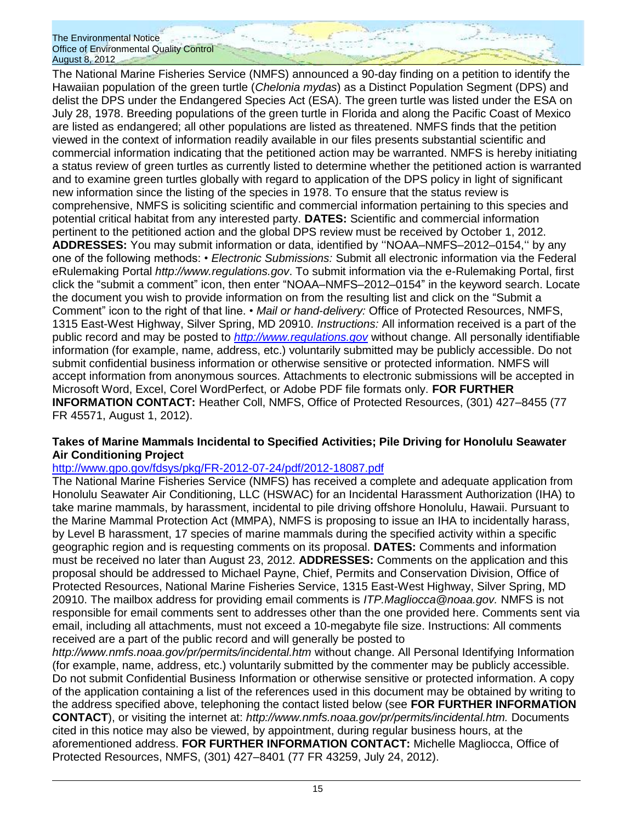The National Marine Fisheries Service (NMFS) announced a 90-day finding on a petition to identify the Hawaiian population of the green turtle (*Chelonia mydas*) as a Distinct Population Segment (DPS) and delist the DPS under the Endangered Species Act (ESA). The green turtle was listed under the ESA on July 28, 1978. Breeding populations of the green turtle in Florida and along the Pacific Coast of Mexico are listed as endangered; all other populations are listed as threatened. NMFS finds that the petition viewed in the context of information readily available in our files presents substantial scientific and commercial information indicating that the petitioned action may be warranted. NMFS is hereby initiating a status review of green turtles as currently listed to determine whether the petitioned action is warranted and to examine green turtles globally with regard to application of the DPS policy in light of significant new information since the listing of the species in 1978. To ensure that the status review is comprehensive, NMFS is soliciting scientific and commercial information pertaining to this species and potential critical habitat from any interested party. **DATES:** Scientific and commercial information pertinent to the petitioned action and the global DPS review must be received by October 1, 2012. **ADDRESSES:** You may submit information or data, identified by ʻʻNOAA–NMFS–2012–0154,ʻʻ by any one of the following methods: • *Electronic Submissions:* Submit all electronic information via the Federal eRulemaking Portal *http://www.regulations.gov*. To submit information via the e-Rulemaking Portal, first click the "submit a comment" icon, then enter "NOAA–NMFS–2012–0154" in the keyword search. Locate the document you wish to provide information on from the resulting list and click on the "Submit a Comment" icon to the right of that line. • *Mail or hand*-*delivery:* Office of Protected Resources, NMFS, 1315 East-West Highway, Silver Spring, MD 20910. *Instructions:* All information received is a part of the public record and may be posted to *[http://www.regulations.gov](http://www.regulations.gov/)* without change. All personally identifiable information (for example, name, address, etc.) voluntarily submitted may be publicly accessible. Do not submit confidential business information or otherwise sensitive or protected information. NMFS will accept information from anonymous sources. Attachments to electronic submissions will be accepted in Microsoft Word, Excel, Corel WordPerfect, or Adobe PDF file formats only. **FOR FURTHER INFORMATION CONTACT:** Heather Coll, NMFS, Office of Protected Resources, (301) 427–8455 (77 FR 45571, August 1, 2012).

# **Takes of Marine Mammals Incidental to Specified Activities; Pile Driving for Honolulu Seawater Air Conditioning Project**

# <http://www.gpo.gov/fdsys/pkg/FR-2012-07-24/pdf/2012-18087.pdf>

The National Marine Fisheries Service (NMFS) has received a complete and adequate application from Honolulu Seawater Air Conditioning, LLC (HSWAC) for an Incidental Harassment Authorization (IHA) to take marine mammals, by harassment, incidental to pile driving offshore Honolulu, Hawaii. Pursuant to the Marine Mammal Protection Act (MMPA), NMFS is proposing to issue an IHA to incidentally harass, by Level B harassment, 17 species of marine mammals during the specified activity within a specific geographic region and is requesting comments on its proposal. **DATES:** Comments and information must be received no later than August 23, 2012. **ADDRESSES:** Comments on the application and this proposal should be addressed to Michael Payne, Chief, Permits and Conservation Division, Office of Protected Resources, National Marine Fisheries Service, 1315 East-West Highway, Silver Spring, MD 20910. The mailbox address for providing email comments is *ITP.Magliocca@noaa.gov.* NMFS is not responsible for email comments sent to addresses other than the one provided here. Comments sent via email, including all attachments, must not exceed a 10-megabyte file size. Instructions: All comments received are a part of the public record and will generally be posted to

*http://www.nmfs.noaa.gov/pr/permits/incidental.htm* without change. All Personal Identifying Information (for example, name, address, etc.) voluntarily submitted by the commenter may be publicly accessible. Do not submit Confidential Business Information or otherwise sensitive or protected information. A copy of the application containing a list of the references used in this document may be obtained by writing to the address specified above, telephoning the contact listed below (see **FOR FURTHER INFORMATION CONTACT**), or visiting the internet at: *http://www.nmfs.noaa.gov/pr/permits/incidental.htm.* Documents cited in this notice may also be viewed, by appointment, during regular business hours, at the aforementioned address. **FOR FURTHER INFORMATION CONTACT:** Michelle Magliocca, Office of Protected Resources, NMFS, (301) 427–8401 (77 FR 43259, July 24, 2012).